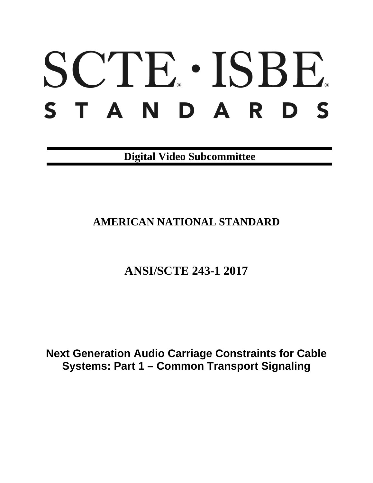# SCTE · ISBE. STANDARDS

**Digital Video Subcommittee**

# **AMERICAN NATIONAL STANDARD**

# **ANSI/SCTE 243-1 2017**

**Next Generation Audio Carriage Constraints for Cable Systems: Part 1 – Common Transport Signaling**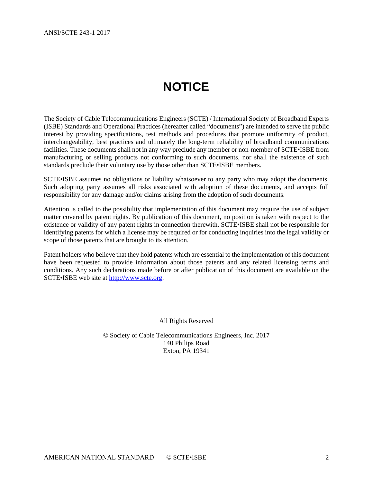# **NOTICE**

<span id="page-1-0"></span>The Society of Cable Telecommunications Engineers (SCTE) / International Society of Broadband Experts (ISBE) Standards and Operational Practices (hereafter called "documents") are intended to serve the public interest by providing specifications, test methods and procedures that promote uniformity of product, interchangeability, best practices and ultimately the long-term reliability of broadband communications facilities. These documents shall not in any way preclude any member or non-member of SCTE•ISBE from manufacturing or selling products not conforming to such documents, nor shall the existence of such standards preclude their voluntary use by those other than SCTE•ISBE members.

SCTE•ISBE assumes no obligations or liability whatsoever to any party who may adopt the documents. Such adopting party assumes all risks associated with adoption of these documents, and accepts full responsibility for any damage and/or claims arising from the adoption of such documents.

Attention is called to the possibility that implementation of this document may require the use of subject matter covered by patent rights. By publication of this document, no position is taken with respect to the existence or validity of any patent rights in connection therewith. SCTE•ISBE shall not be responsible for identifying patents for which a license may be required or for conducting inquiries into the legal validity or scope of those patents that are brought to its attention.

Patent holders who believe that they hold patents which are essential to the implementation of this document have been requested to provide information about those patents and any related licensing terms and conditions. Any such declarations made before or after publication of this document are available on the SCTE•ISBE web site at [http://www.scte.org.](http://www.scte.org/)

All Rights Reserved

© Society of Cable Telecommunications Engineers, Inc. 2017 140 Philips Road Exton, PA 19341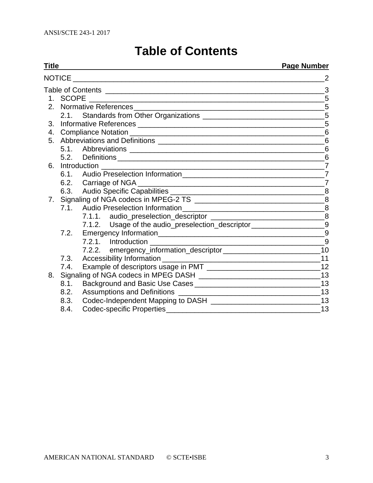# **Table of Contents**

<span id="page-2-0"></span>

| Title |                                                                                                                                  | <b>Page Number</b>                                                                                                         |
|-------|----------------------------------------------------------------------------------------------------------------------------------|----------------------------------------------------------------------------------------------------------------------------|
|       |                                                                                                                                  | $\overline{2}$                                                                                                             |
|       |                                                                                                                                  |                                                                                                                            |
|       | 1. SCOPE<br><u> 2000 - Jan James James James James James James James James James James James James James James James James J</u> | 5                                                                                                                          |
|       |                                                                                                                                  | 5                                                                                                                          |
|       |                                                                                                                                  |                                                                                                                            |
|       |                                                                                                                                  |                                                                                                                            |
|       |                                                                                                                                  | $6\phantom{1}6$                                                                                                            |
|       |                                                                                                                                  | $6\phantom{1}6$                                                                                                            |
|       |                                                                                                                                  | $6\phantom{1}6$                                                                                                            |
|       |                                                                                                                                  | $6\phantom{1}6$                                                                                                            |
| 6.    | Introduction<br><u> 2000 - Januar Alexander (h. 1888).</u><br>1900 - Januar Britain, frantziar musikari (h. 1800).               | $\overline{7}$                                                                                                             |
|       | 6.1.                                                                                                                             |                                                                                                                            |
|       |                                                                                                                                  | $\overline{7}$                                                                                                             |
|       |                                                                                                                                  |                                                                                                                            |
| 7.    |                                                                                                                                  |                                                                                                                            |
|       | Audio Preselection Information<br>8<br>7.1.                                                                                      |                                                                                                                            |
|       |                                                                                                                                  |                                                                                                                            |
|       | 7.1.2. Usage of the audio_preselection_descriptor_______________________________                                                 |                                                                                                                            |
|       | 7.2.                                                                                                                             |                                                                                                                            |
|       | 7.2.1. Introduction                                                                                                              | - 9<br><u> 1989 - Jan James James Barnett, mars andre skrivet er større og det forskellige og det forskellige og det s</u> |
|       | 7.2.2. emergency_information_descriptor___________________________________10                                                     |                                                                                                                            |
|       | 7.3.                                                                                                                             |                                                                                                                            |
|       | 7.4.                                                                                                                             |                                                                                                                            |
| 8.    |                                                                                                                                  | 13                                                                                                                         |
|       | 8.1.                                                                                                                             |                                                                                                                            |
|       | 8.2.                                                                                                                             |                                                                                                                            |
|       | 8.3.                                                                                                                             | 13                                                                                                                         |
|       | 8.4.                                                                                                                             | 13                                                                                                                         |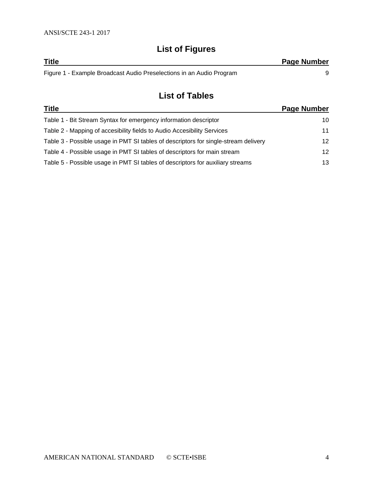| <b>Title</b>                                                         | <b>Page Number</b> |
|----------------------------------------------------------------------|--------------------|
| Figure 1 - Example Broadcast Audio Preselections in an Audio Program |                    |

# **List of Figures**

# **List of Tables**

| <b>Title</b>                                                                        | Page Number |
|-------------------------------------------------------------------------------------|-------------|
| Table 1 - Bit Stream Syntax for emergency information descriptor                    | 10          |
| Table 2 - Mapping of accesibility fields to Audio Accesibility Services             | 11          |
| Table 3 - Possible usage in PMT SI tables of descriptors for single-stream delivery | 12          |
| Table 4 - Possible usage in PMT SI tables of descriptors for main stream            | 12          |
| Table 5 - Possible usage in PMT SI tables of descriptors for auxiliary streams      | 13          |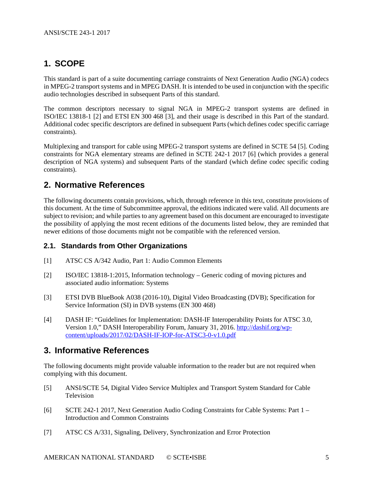# <span id="page-4-0"></span>**1. SCOPE**

This standard is part of a suite documenting carriage constraints of Next Generation Audio (NGA) codecs in MPEG-2 transport systems and in MPEG DASH. It is intended to be used in conjunction with the specific audio technologies described in subsequent Parts of this standard.

The common descriptors necessary to signal NGA in MPEG-2 transport systems are defined in ISO/IEC 13818-1 [\[2\]](#page-4-4) and ETSI EN 300 468 [\[3\]](#page-4-5), and their usage is described in this Part of the standard. Additional codec specific descriptors are defined in subsequent Parts (which defines codec specific carriage constraints).

Multiplexing and transport for cable using MPEG-2 transport systems are defined in SCTE 54 [\[5\]](#page-4-6). Coding constraints for NGA elementary streams are defined in SCTE 242-1 2017 [\[6\]](#page-4-7) (which provides a general description of NGA systems) and subsequent Parts of the standard (which define codec specific coding constraints).

# <span id="page-4-1"></span>**2. Normative References**

The following documents contain provisions, which, through reference in this text, constitute provisions of this document. At the time of Subcommittee approval, the editions indicated were valid. All documents are subject to revision; and while parties to any agreement based on this document are encouraged to investigate the possibility of applying the most recent editions of the documents listed below, they are reminded that newer editions of those documents might not be compatible with the referenced version.

# <span id="page-4-2"></span>**2.1. Standards from Other Organizations**

- <span id="page-4-8"></span><span id="page-4-4"></span>[1] ATSC CS A/342 Audio, Part 1: Audio Common Elements
- [2] ISO/IEC 13818-1:2015, Information technology Generic coding of moving pictures and associated audio information: Systems
- <span id="page-4-5"></span>[3] ETSI DVB BlueBook A038 (2016-10), Digital Video Broadcasting (DVB); Specification for Service Information (SI) in DVB systems (EN 300 468)
- <span id="page-4-10"></span>[4] DASH IF: "Guidelines for Implementation: DASH-IF Interoperability Points for ATSC 3.0, Version 1.0," DASH Interoperability Forum, January 31, 2016. [http://dashif.org/wp](http://dashif.org/wp-content/uploads/2017/02/DASH-IF-IOP-for-ATSC3-0-v1.0.pdf)[content/uploads/2017/02/DASH-IF-IOP-for-ATSC3-0-v1.0.pdf](http://dashif.org/wp-content/uploads/2017/02/DASH-IF-IOP-for-ATSC3-0-v1.0.pdf)

# <span id="page-4-3"></span>**3. Informative References**

The following documents might provide valuable information to the reader but are not required when complying with this document.

- <span id="page-4-6"></span>[5] ANSI/SCTE 54, Digital Video Service Multiplex and Transport System Standard for Cable Television
- <span id="page-4-7"></span>[6] SCTE 242-1 2017, Next Generation Audio Coding Constraints for Cable Systems: Part 1 – Introduction and Common Constraints
- <span id="page-4-9"></span>[7] ATSC CS A/331, Signaling, Delivery, Synchronization and Error Protection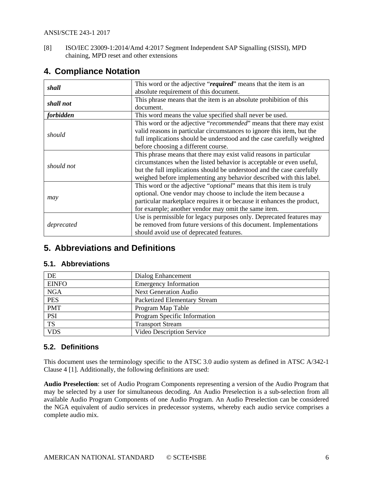<span id="page-5-4"></span>[8] ISO/IEC 23009-1:2014/Amd 4:2017 Segment Independent SAP Signalling (SISSI), MPD chaining, MPD reset and other extensions

# <span id="page-5-0"></span>**4. Compliance Notation**

| shall      | This word or the adjective "required" means that the item is an              |
|------------|------------------------------------------------------------------------------|
|            | absolute requirement of this document.                                       |
| shall not  | This phrase means that the item is an absolute prohibition of this           |
|            | document.                                                                    |
| forbidden  | This word means the value specified shall never be used.                     |
|            | This word or the adjective "recommended" means that there may exist          |
|            | valid reasons in particular circumstances to ignore this item, but the       |
| should     | full implications should be understood and the case carefully weighted       |
|            | before choosing a different course.                                          |
|            | This phrase means that there may exist valid reasons in particular           |
| should not | circumstances when the listed behavior is acceptable or even useful,         |
|            | but the full implications should be understood and the case carefully        |
|            | weighed before implementing any behavior described with this label.          |
|            | This word or the adjective " <i>optional</i> " means that this item is truly |
|            | optional. One vendor may choose to include the item because a                |
| may        | particular marketplace requires it or because it enhances the product,       |
|            | for example; another vendor may omit the same item.                          |
|            | Use is permissible for legacy purposes only. Deprecated features may         |
| deprecated | be removed from future versions of this document. Implementations            |
|            | should avoid use of deprecated features.                                     |

# <span id="page-5-1"></span>**5. Abbreviations and Definitions**

# <span id="page-5-2"></span>**5.1. Abbreviations**

| DE           | Dialog Enhancement           |
|--------------|------------------------------|
| <b>EINFO</b> | <b>Emergency Information</b> |
| <b>NGA</b>   | <b>Next Generation Audio</b> |
| <b>PES</b>   | Packetized Elementary Stream |
| <b>PMT</b>   | Program Map Table            |
| <b>PSI</b>   | Program Specific Information |
| <b>TS</b>    | <b>Transport Stream</b>      |
| <b>VDS</b>   | Video Description Service    |

# <span id="page-5-3"></span>**5.2. Definitions**

This document uses the terminology specific to the ATSC 3.0 audio system as defined in ATSC A/342-1 Clause 4 [\[1\]](#page-4-8). Additionally, the following definitions are used:

**Audio Preselection**: set of Audio Program Components representing a version of the Audio Program that may be selected by a user for simultaneous decoding. An Audio Preselection is a sub-selection from all available Audio Program Components of one Audio Program. An Audio Preselection can be considered the NGA equivalent of audio services in predecessor systems, whereby each audio service comprises a complete audio mix.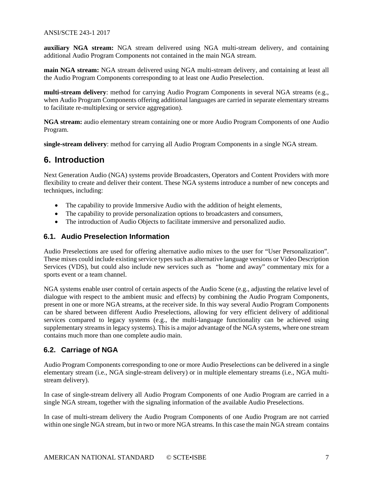**auxiliary NGA stream:** NGA stream delivered using NGA multi-stream delivery, and containing additional Audio Program Components not contained in the main NGA stream.

**main NGA stream:** NGA stream delivered using NGA multi-stream delivery, and containing at least all the Audio Program Components corresponding to at least one Audio Preselection.

**multi-stream delivery**: method for carrying Audio Program Components in several NGA streams (e.g., when Audio Program Components offering additional languages are carried in separate elementary streams to facilitate re-multiplexing or service aggregation).

**NGA stream:** audio elementary stream containing one or more Audio Program Components of one Audio Program.

<span id="page-6-0"></span>**single-stream delivery**: method for carrying all Audio Program Components in a single NGA stream.

# **6. Introduction**

Next Generation Audio (NGA) systems provide Broadcasters, Operators and Content Providers with more flexibility to create and deliver their content. These NGA systems introduce a number of new concepts and techniques, including:

- The capability to provide Immersive Audio with the addition of height elements,
- The capability to provide personalization options to broadcasters and consumers,
- The introduction of Audio Objects to facilitate immersive and personalized audio.

# <span id="page-6-1"></span>**6.1. Audio Preselection Information**

Audio Preselections are used for offering alternative audio mixes to the user for "User Personalization". These mixes could include existing service types such as alternative language versions or Video Description Services (VDS), but could also include new services such as "home and away" commentary mix for a sports event or a team channel.

NGA systems enable user control of certain aspects of the Audio Scene (e.g., adjusting the relative level of dialogue with respect to the ambient music and effects) by combining the Audio Program Components, present in one or more NGA streams, at the receiver side. In this way several Audio Program Components can be shared between different Audio Preselections, allowing for very efficient delivery of additional services compared to legacy systems (e.g., the multi-language functionality can be achieved using supplementary streams in legacy systems). This is a major advantage of the NGA systems, where one stream contains much more than one complete audio main.

# <span id="page-6-2"></span>**6.2. Carriage of NGA**

Audio Program Components corresponding to one or more Audio Preselections can be delivered in a single elementary stream (i.e., NGA single-stream delivery) or in multiple elementary streams (i.e., NGA multistream delivery).

In case of single-stream delivery all Audio Program Components of one Audio Program are carried in a single NGA stream, together with the signaling information of the available Audio Preselections.

In case of multi-stream delivery the Audio Program Components of one Audio Program are not carried within one single NGA stream, but in two or more NGA streams. In this case the main NGA stream contains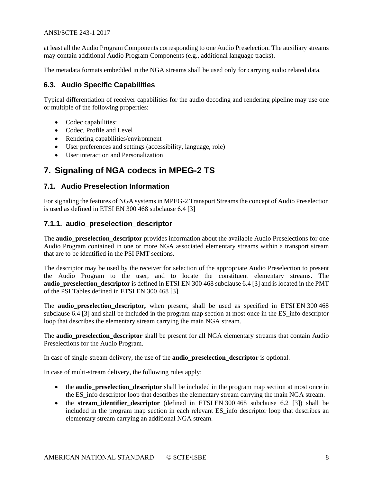at least all the Audio Program Components corresponding to one Audio Preselection. The auxiliary streams may contain additional Audio Program Components (e.g., additional language tracks).

<span id="page-7-0"></span>The metadata formats embedded in the NGA streams shall be used only for carrying audio related data.

#### **6.3. Audio Specific Capabilities**

Typical differentiation of receiver capabilities for the audio decoding and rendering pipeline may use one or multiple of the following properties:

- Codec capabilities:
- Codec, Profile and Level
- Rendering capabilities/environment
- User preferences and settings (accessibility, language, role)
- User interaction and Personalization

# <span id="page-7-1"></span>**7. Signaling of NGA codecs in MPEG-2 TS**

# <span id="page-7-2"></span>**7.1. Audio Preselection Information**

For signaling the features of NGA systems in MPEG-2 Transport Streams the concept of Audio Preselection is used as defined in ETSI EN 300 468 subclause 6.4 [\[3\]](#page-4-5)

# <span id="page-7-3"></span>**7.1.1. audio\_preselection\_descriptor**

The **audio\_preselection\_descriptor** provides information about the available Audio Preselections for one Audio Program contained in one or more NGA associated elementary streams within a transport stream that are to be identified in the PSI PMT sections.

The descriptor may be used by the receiver for selection of the appropriate Audio Preselection to present the Audio Program to the user, and to locate the constituent elementary streams. The **audio** preselection descriptor is defined in ETSI EN 300 468 subclause 6.4 [\[3\]](#page-4-5) and is located in the PMT of the PSI Tables defined in ETSI EN 300 468 [\[3\]](#page-4-5).

The **audio preselection descriptor**, when present, shall be used as specified in ETSI EN 300 468 subclause 6.4 [\[3\]](#page-4-5) and shall be included in the program map section at most once in the ES info descriptor loop that describes the elementary stream carrying the main NGA stream.

The **audio\_preselection\_descriptor** shall be present for all NGA elementary streams that contain Audio Preselections for the Audio Program.

In case of single-stream delivery, the use of the **audio\_preselection\_descriptor** is optional.

In case of multi-stream delivery, the following rules apply:

- the **audio\_preselection\_descriptor** shall be included in the program map section at most once in the ES\_info descriptor loop that describes the elementary stream carrying the main NGA stream.
- the **stream identifier descriptor** (defined in ETSI EN 300 468 subclause 6.2 [\[3\]](#page-4-5)) shall be included in the program map section in each relevant ES info descriptor loop that describes an elementary stream carrying an additional NGA stream.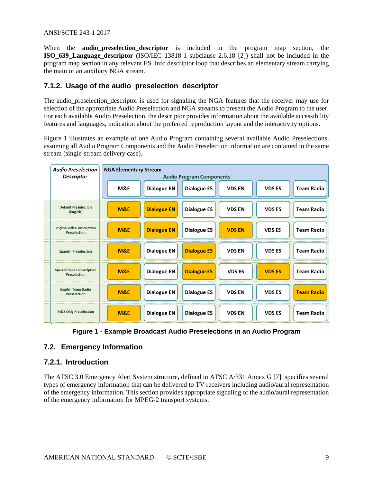When the **audio\_preselection\_descriptor** is included in the program map section, the **ISO\_639\_Language\_descriptor** (ISO/IEC 13818-1 subclause 2.6.18 [\[2\]](#page-4-4)) shall not be included in the program map section in any relevant ES\_info descriptor loop that describes an elementary stream carrying the main or an auxiliary NGA stream.

# <span id="page-8-0"></span>**7.1.2. Usage of the audio\_preselection\_descriptor**

The audio\_preselection\_descriptor is used for signaling the NGA features that the receiver may use for selection of the appropriate Audio Preselection and NGA streams to present the Audio Program to the user. For each available Audio Preselection, the descriptor provides information about the available accessibility features and languages, indication about the preferred reproduction layout and the interactivity options.

[Figure 1](#page-8-3) illustrates an example of one Audio Program containing several available Audio Preselections, assuming all Audio Program Components and the Audio Preselection information are contained in the same stream (single-stream delivery case).

| <b>Audio Preselection</b><br><b>Descriptor</b>   | <b>NGA Elementary Stream</b><br><b>Audio Program Components</b> |                    |                    |               |               |                   |  |
|--------------------------------------------------|-----------------------------------------------------------------|--------------------|--------------------|---------------|---------------|-------------------|--|
|                                                  | M&E                                                             | Dialogue EN        | <b>Dialogue ES</b> | <b>VDS EN</b> | <b>VDS ES</b> | <b>Team Radio</b> |  |
| <b>Default Preselection</b><br>(English)         | <b>M&amp;E</b>                                                  | <b>Dialogue EN</b> | <b>Dialogue ES</b> | <b>VDS EN</b> | <b>VDS ES</b> | <b>Team Radio</b> |  |
| <b>English Video Description</b><br>Preselection | M&E                                                             | <b>Dialogue EN</b> | <b>Dialogue ES</b> | <b>VDS EN</b> | <b>VDS ES</b> | <b>Team Radio</b> |  |
| <b>Spanish Preselection</b>                      | <b>M&amp;E</b>                                                  | <b>Dialogue EN</b> | <b>Dialogue ES</b> | <b>VDS EN</b> | <b>VDS ES</b> | <b>Team Radio</b> |  |
| <b>Spanish Video Description</b><br>Preselection | <b>M&amp;E</b>                                                  | <b>Dialogue EN</b> | <b>Dialogue ES</b> | <b>VDS ES</b> | <b>VDS ES</b> | <b>Team Radio</b> |  |
| <b>English Team Radio</b><br>Preselection        | <b>M&amp;E</b>                                                  | <b>Dialogue EN</b> | <b>Dialogue ES</b> | <b>VDS EN</b> | <b>VDS ES</b> | <b>Team Radio</b> |  |
| <b>M&amp;E Only Preselection</b>                 | <b>M&amp;E</b>                                                  | <b>Dialogue EN</b> | <b>Dialogue ES</b> | <b>VDS EN</b> | <b>VDS ES</b> | <b>Team Radio</b> |  |

**Figure 1 - Example Broadcast Audio Preselections in an Audio Program**

# <span id="page-8-3"></span><span id="page-8-1"></span>**7.2. Emergency Information**

#### <span id="page-8-2"></span>**7.2.1. Introduction**

The ATSC 3.0 Emergency Alert System structure, defined in ATSC A/331 Annex G [\[7\]](#page-4-9), specifies several types of emergency information that can be delivered to TV receivers including audio/aural representation of the emergency information. This section provides appropriate signaling of the audio/aural representation of the emergency information for MPEG-2 transport systems.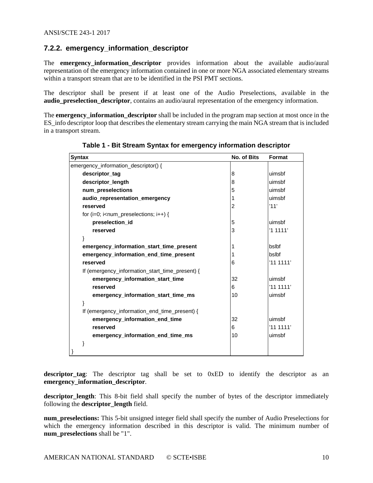#### <span id="page-9-0"></span>**7.2.2. emergency\_information\_descriptor**

The **emergency\_information\_descriptor** provides information about the available audio/aural representation of the emergency information contained in one or more NGA associated elementary streams within a transport stream that are to be identified in the PSI PMT sections.

The descriptor shall be present if at least one of the Audio Preselections, available in the **audio\_preselection\_descriptor**, contains an audio/aural representation of the emergency information.

<span id="page-9-1"></span>The **emergency information descriptor** shall be included in the program map section at most once in the ES info descriptor loop that describes the elementary stream carrying the main NGA stream that is included in a transport stream.

| <b>Syntax</b>                                                                               | No. of Bits | <b>Format</b> |
|---------------------------------------------------------------------------------------------|-------------|---------------|
| emergency_information_descriptor() {                                                        |             |               |
| descriptor_tag                                                                              | 8           | uimsbf        |
| descriptor_length                                                                           | 8           | uimsbf        |
| num_preselections                                                                           | 5           | uimsbf        |
| audio_representation_emergency                                                              | 1           | uimsbf        |
| reserved                                                                                    | 2           | '11'          |
| for (i=0; i <num_preselections; i++)="" td="" {<=""><td></td><td></td></num_preselections;> |             |               |
| preselection_id                                                                             | 5           | uimsbf        |
| reserved                                                                                    | 3           | '11111'       |
|                                                                                             |             |               |
| emergency_information_start_time_present                                                    | 1           | bslbf         |
| emergency_information_end_time_present                                                      | 1           | bslbf         |
| reserved                                                                                    | 6           | '111111'      |
| If (emergency_information_start_time_present) {                                             |             |               |
| emergency_information_start_time                                                            | 32          | uimsbf        |
| reserved                                                                                    | 6           | '111111'      |
| emergency_information_start_time_ms                                                         | 10          | uimsbf        |
| ł                                                                                           |             |               |
| If (emergency_information_end_time_present) {                                               |             |               |
| emergency_information_end_time                                                              | 32          | uimsbf        |
| reserved                                                                                    | 6           | '111111'      |
| emergency_information_end_time_ms                                                           | 10          | uimsbf        |
| }                                                                                           |             |               |
|                                                                                             |             |               |

**Table 1 - Bit Stream Syntax for emergency information descriptor**

**descriptor\_tag**: The descriptor tag shall be set to 0xED to identify the descriptor as an **emergency\_information\_descriptor**.

**descriptor length**: This 8-bit field shall specify the number of bytes of the descriptor immediately following the **descriptor\_length** field.

**num preselections:** This 5-bit unsigned integer field shall specify the number of Audio Preselections for which the emergency information described in this descriptor is valid. The minimum number of **num\_preselections** shall be "1".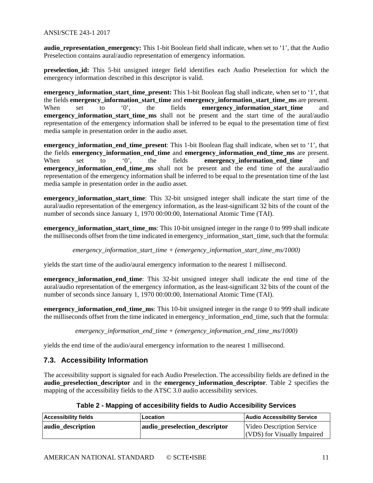**audio\_representation\_emergency:** This 1-bit Boolean field shall indicate, when set to '1', that the Audio Preselection contains aural/audio representation of emergency information.

**preselection\_id:** This 5-bit unsigned integer field identifies each Audio Preselection for which the emergency information described in this descriptor is valid.

**emergency\_information\_start\_time\_present:** This 1-bit Boolean flag shall indicate, when set to '1', that the fields **emergency\_information\_start\_time** and **emergency\_information\_start\_time\_ms** are present. When set to '0', the fields **emergency information start time** and **emergency information start time ms** shall not be present and the start time of the aural/audio representation of the emergency information shall be inferred to be equal to the presentation time of first media sample in presentation order in the audio asset.

**emergency\_information\_end\_time\_present**: This 1-bit Boolean flag shall indicate, when set to '1', that the fields **emergency\_information\_end\_time** and **emergency\_information\_end\_time\_ms** are present. When set to '0', the fields **emergency information end time** and **emergency information end time ms** shall not be present and the end time of the aural/audio representation of the emergency information shall be inferred to be equal to the presentation time of the last media sample in presentation order in the audio asset.

**emergency\_information\_start\_time**: This 32-bit unsigned integer shall indicate the start time of the aural/audio representation of the emergency information, as the least-significant 32 bits of the count of the number of seconds since January 1, 1970 00:00:00, International Atomic Time (TAI).

**emergency\_information\_start\_time\_ms**: This 10-bit unsigned integer in the range 0 to 999 shall indicate the milliseconds offset from the time indicated in emergency\_information\_start\_time, such that the formula:

*emergency\_information\_start\_time + (emergency\_information\_start\_time\_ms/1000)*

yields the start time of the audio/aural emergency information to the nearest 1 millisecond.

**emergency information end time**: This 32-bit unsigned integer shall indicate the end time of the aural/audio representation of the emergency information, as the least-significant 32 bits of the count of the number of seconds since January 1, 1970 00:00:00, International Atomic Time (TAI).

**emergency\_information\_end\_time\_ms**: This 10-bit unsigned integer in the range 0 to 999 shall indicate the milliseconds offset from the time indicated in emergency information end time, such that the formula:

*emergency\_information\_end\_time + (emergency\_information\_end\_time\_ms/1000)*

<span id="page-10-0"></span>yields the end time of the audio/aural emergency information to the nearest 1 millisecond.

# **7.3. Accessibility Information**

The accessibility support is signaled for each Audio Preselection. The accessibility fields are defined in the **audio\_preselection\_descriptor** and in the **emergency\_information\_descriptor**. [Table 2](#page-10-1) specifies the mapping of the accessibility fields to the ATSC 3.0 audio accessibility services.

**Table 2 - Mapping of accesibility fields to Audio Accesibility Services**

<span id="page-10-1"></span>

| <b>Accessibility fields</b> | Location                      | <b>Audio Accessibility Service</b>                       |
|-----------------------------|-------------------------------|----------------------------------------------------------|
| audio description           | audio_preselection_descriptor | Video Description Service<br>(VDS) for Visually Impaired |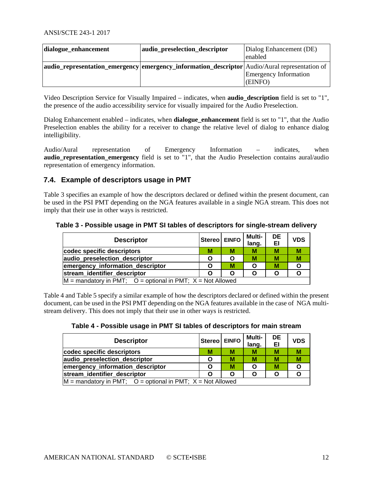| dialogue_enhancement | audio_preselection_descriptor                                                                 | Dialog Enhancement (DE)<br>enabled |
|----------------------|-----------------------------------------------------------------------------------------------|------------------------------------|
|                      | audio_representation_emergency emergency_information_descriptor Audio/Aural representation of | <b>Emergency Information</b>       |
|                      |                                                                                               | $ $ (EINFO)                        |

Video Description Service for Visually Impaired – indicates, when **audio\_description** field is set to "1", the presence of the audio accessibility service for visually impaired for the Audio Preselection.

Dialog Enhancement enabled – indicates, when **dialogue\_enhancement** field is set to "1", that the Audio Preselection enables the ability for a receiver to change the relative level of dialog to enhance dialog intelligibility.

Audio/Aural representation of Emergency Information – indicates, when **audio representation emergency** field is set to "1", that the Audio Preselection contains aural/audio representation of emergency information.

# <span id="page-11-0"></span>**7.4. Example of descriptors usage in PMT**

[Table 3](#page-11-1) specifies an example of how the descriptors declared or defined within the present document, can be used in the PSI PMT depending on the NGA features available in a single NGA stream. This does not imply that their use in other ways is restricted.

#### <span id="page-11-1"></span>**Table 3 - Possible usage in PMT SI tables of descriptors for single-stream delivery**

| <b>Descriptor</b>                                                | <b>Stereo</b> | <b>EINFO</b> | Multi-<br>lang. | DE<br>EI | <b>VDS</b> |
|------------------------------------------------------------------|---------------|--------------|-----------------|----------|------------|
| codec specific descriptors                                       | М             | М            | М               | M        | M          |
| audio preselection descriptor                                    |               | Ο            | М               | М        | M          |
| emergency_information_descriptor                                 | O             | M            | O               | М        | Ο          |
| stream identifier descriptor                                     |               | O            | O               |          | ი          |
| $M =$ mandatory in PMT; $O =$ optional in PMT; $X =$ Not Allowed |               |              |                 |          |            |

<span id="page-11-2"></span>[Table 4](#page-11-2) and [Table 5](#page-12-5) specify a similar example of how the descriptors declared or defined within the present document, can be used in the PSI PMT depending on the NGA features available in the case of NGA multistream delivery. This does not imply that their use in other ways is restricted.

| Table 4 - Possible usage in PMT SI tables of descriptors for main stream |  |  |  |
|--------------------------------------------------------------------------|--|--|--|
|--------------------------------------------------------------------------|--|--|--|

| <b>Descriptor</b>                                                | <b>Stereo</b> | <b>EINFO</b> | Multi-<br>lang. | DE<br>EI | <b>VDS</b> |
|------------------------------------------------------------------|---------------|--------------|-----------------|----------|------------|
| codec specific descriptors                                       | M             | м            | М               | M        | М          |
| audio_preselection_descriptor                                    | O             | М            | М               | М        | M          |
| emergency_information_descriptor                                 |               | М            | Ο               | М        | ი          |
| stream identifier descriptor                                     |               | О            | O               | Ω        |            |
| $M =$ mandatory in PMT; $O =$ optional in PMT; $X =$ Not Allowed |               |              |                 |          |            |